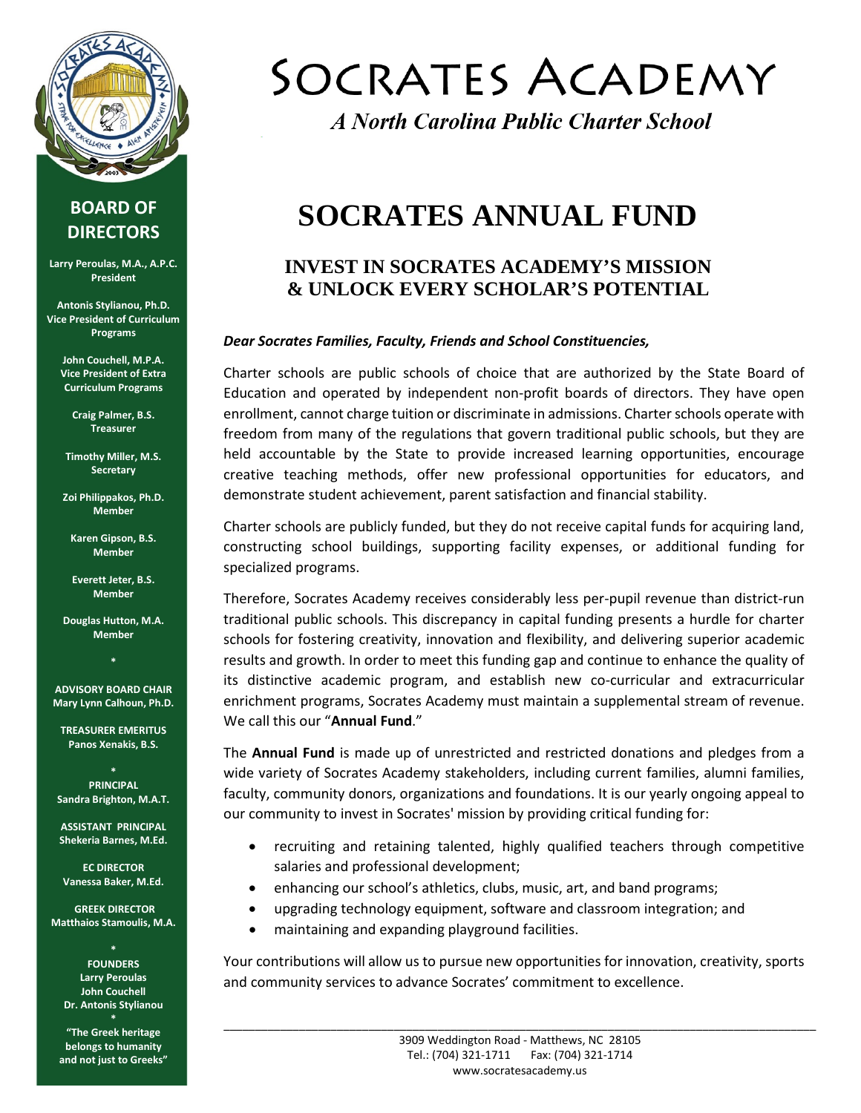

### **BOARD OF DIRECTORS**

**Larry Peroulas, M.A., A.P.C. President**

**Antonis Stylianou, Ph.D. Vice President of Curriculum Programs**

> **John Couchell, M.P.A. Vice President of Extra Curriculum Programs**

> > **Craig Palmer, B.S. Treasurer**

**Timothy Miller, M.S. Secretary**

**Zoi Philippakos, Ph.D. Member**

**Karen Gipson, B.S. Member**

**Everett Jeter, B.S. Member**

**Douglas Hutton, M.A. Member**

**\* ADVISORY BOARD CHAIR Mary Lynn Calhoun, Ph.D.**

**TREASURER EMERITUS Panos Xenakis, B.S.**

**\* PRINCIPAL Sandra Brighton, M.A.T.**

**ASSISTANT PRINCIPAL Shekeria Barnes, M.Ed.**

**EC DIRECTOR Vanessa Baker, M.Ed.**

**GREEK DIRECTOR Matthaios Stamoulis, M.A.** 

**\***

**FOUNDERS Larry Peroulas John Couchell Dr. Antonis Stylianou \***

**"The Greek heritage belongs to humanity and not just to Greeks"**

# SOCRATES ACADEMY

A North Carolina Public Charter School

## **SOCRATES ANNUAL FUND**

### **INVEST IN SOCRATES ACADEMY'S MISSION & UNLOCK EVERY SCHOLAR'S POTENTIAL**

#### *Dear Socrates Families, Faculty, Friends and School Constituencies,*

Charter schools are public schools of choice that are authorized by the State Board of Education and operated by independent non-profit boards of directors. They have open enrollment, cannot charge tuition or discriminate in admissions. Charter schools operate with freedom from many of the regulations that govern traditional public schools, but they are held accountable by the State to provide increased learning opportunities, encourage creative teaching methods, offer new professional opportunities for educators, and demonstrate student achievement, parent satisfaction and financial stability.

Charter schools are publicly funded, but they do not receive capital funds for acquiring land, constructing school buildings, supporting facility expenses, or additional funding for specialized programs.

Therefore, Socrates Academy receives considerably less per-pupil revenue than district-run traditional public schools. This discrepancy in capital funding presents a hurdle for charter schools for fostering creativity, innovation and flexibility, and delivering superior academic results and growth. In order to meet this funding gap and continue to enhance the quality of its distinctive academic program, and establish new co-curricular and extracurricular enrichment programs, Socrates Academy must maintain a supplemental stream of revenue. We call this our "**Annual Fund**."

The **Annual Fund** is made up of unrestricted and restricted donations and pledges from a wide variety of Socrates Academy stakeholders, including current families, alumni families, faculty, community donors, organizations and foundations. It is our yearly ongoing appeal to our community to invest in Socrates' mission by providing critical funding for:

- recruiting and retaining talented, highly qualified teachers through competitive salaries and professional development;
- enhancing our school's athletics, clubs, music, art, and band programs;
- upgrading technology equipment, software and classroom integration; and
- maintaining and expanding playground facilities.

Your contributions will allow us to pursue new opportunities for innovation, creativity, sports and community services to advance Socrates' commitment to excellence.

\_\_\_\_\_\_\_\_\_\_\_\_\_\_\_\_\_\_\_\_\_\_\_\_\_\_\_\_\_\_\_\_\_\_\_\_\_\_\_\_\_\_\_\_\_\_\_\_\_\_\_\_\_\_\_\_\_\_\_\_\_\_\_\_\_\_\_\_\_\_\_\_\_\_\_\_\_\_\_\_\_\_\_\_\_\_\_\_\_\_\_\_\_\_